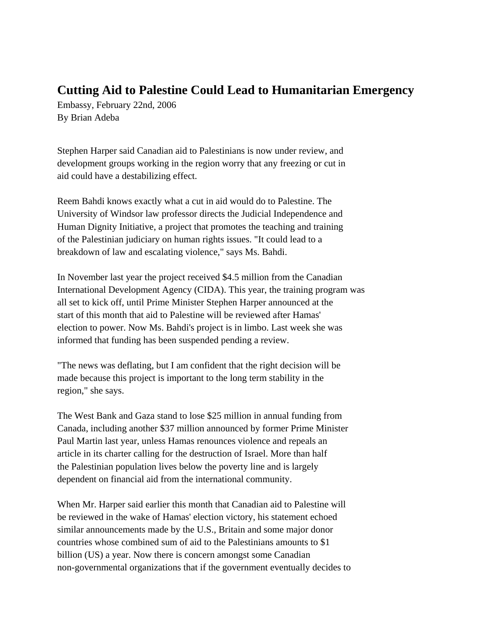## **Cutting Aid to Palestine Could Lead to Humanitarian Emergency**

Embassy, February 22nd, 2006 By Brian Adeba

Stephen Harper said Canadian aid to Palestinians is now under review, and development groups working in the region worry that any freezing or cut in aid could have a destabilizing effect.

Reem Bahdi knows exactly what a cut in aid would do to Palestine. The University of Windsor law professor directs the Judicial Independence and Human Dignity Initiative, a project that promotes the teaching and training of the Palestinian judiciary on human rights issues. "It could lead to a breakdown of law and escalating violence," says Ms. Bahdi.

In November last year the project received \$4.5 million from the Canadian International Development Agency (CIDA). This year, the training program was all set to kick off, until Prime Minister Stephen Harper announced at the start of this month that aid to Palestine will be reviewed after Hamas' election to power. Now Ms. Bahdi's project is in limbo. Last week she was informed that funding has been suspended pending a review.

"The news was deflating, but I am confident that the right decision will be made because this project is important to the long term stability in the region," she says.

The West Bank and Gaza stand to lose \$25 million in annual funding from Canada, including another \$37 million announced by former Prime Minister Paul Martin last year, unless Hamas renounces violence and repeals an article in its charter calling for the destruction of Israel. More than half the Palestinian population lives below the poverty line and is largely dependent on financial aid from the international community.

When Mr. Harper said earlier this month that Canadian aid to Palestine will be reviewed in the wake of Hamas' election victory, his statement echoed similar announcements made by the U.S., Britain and some major donor countries whose combined sum of aid to the Palestinians amounts to \$1 billion (US) a year. Now there is concern amongst some Canadian non-governmental organizations that if the government eventually decides to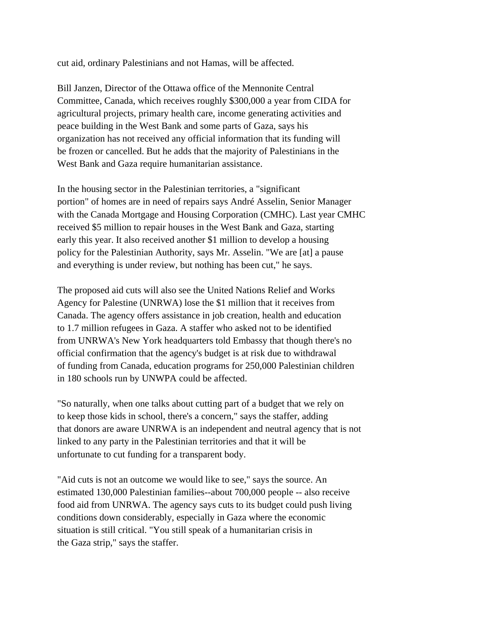cut aid, ordinary Palestinians and not Hamas, will be affected.

Bill Janzen, Director of the Ottawa office of the Mennonite Central Committee, Canada, which receives roughly \$300,000 a year from CIDA for agricultural projects, primary health care, income generating activities and peace building in the West Bank and some parts of Gaza, says his organization has not received any official information that its funding will be frozen or cancelled. But he adds that the majority of Palestinians in the West Bank and Gaza require humanitarian assistance.

In the housing sector in the Palestinian territories, a "significant portion" of homes are in need of repairs says André Asselin, Senior Manager with the Canada Mortgage and Housing Corporation (CMHC). Last year CMHC received \$5 million to repair houses in the West Bank and Gaza, starting early this year. It also received another \$1 million to develop a housing policy for the Palestinian Authority, says Mr. Asselin. "We are [at] a pause and everything is under review, but nothing has been cut," he says.

The proposed aid cuts will also see the United Nations Relief and Works Agency for Palestine (UNRWA) lose the \$1 million that it receives from Canada. The agency offers assistance in job creation, health and education to 1.7 million refugees in Gaza. A staffer who asked not to be identified from UNRWA's New York headquarters told Embassy that though there's no official confirmation that the agency's budget is at risk due to withdrawal of funding from Canada, education programs for 250,000 Palestinian children in 180 schools run by UNWPA could be affected.

"So naturally, when one talks about cutting part of a budget that we rely on to keep those kids in school, there's a concern," says the staffer, adding that donors are aware UNRWA is an independent and neutral agency that is not linked to any party in the Palestinian territories and that it will be unfortunate to cut funding for a transparent body.

"Aid cuts is not an outcome we would like to see," says the source. An estimated 130,000 Palestinian families--about 700,000 people -- also receive food aid from UNRWA. The agency says cuts to its budget could push living conditions down considerably, especially in Gaza where the economic situation is still critical. "You still speak of a humanitarian crisis in the Gaza strip," says the staffer.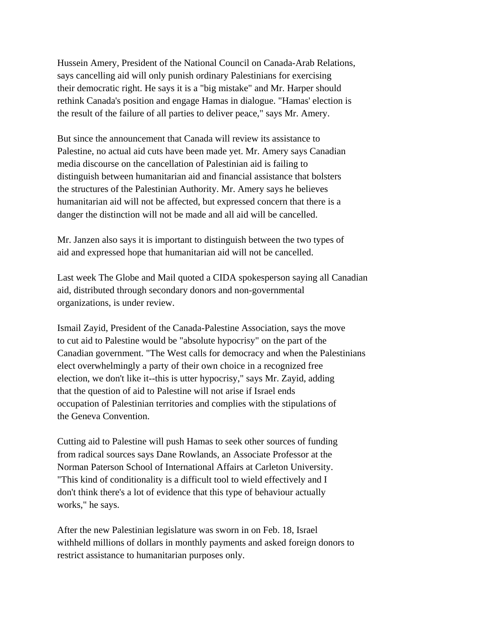Hussein Amery, President of the National Council on Canada-Arab Relations, says cancelling aid will only punish ordinary Palestinians for exercising their democratic right. He says it is a "big mistake" and Mr. Harper should rethink Canada's position and engage Hamas in dialogue. "Hamas' election is the result of the failure of all parties to deliver peace," says Mr. Amery.

But since the announcement that Canada will review its assistance to Palestine, no actual aid cuts have been made yet. Mr. Amery says Canadian media discourse on the cancellation of Palestinian aid is failing to distinguish between humanitarian aid and financial assistance that bolsters the structures of the Palestinian Authority. Mr. Amery says he believes humanitarian aid will not be affected, but expressed concern that there is a danger the distinction will not be made and all aid will be cancelled.

Mr. Janzen also says it is important to distinguish between the two types of aid and expressed hope that humanitarian aid will not be cancelled.

Last week The Globe and Mail quoted a CIDA spokesperson saying all Canadian aid, distributed through secondary donors and non-governmental organizations, is under review.

Ismail Zayid, President of the Canada-Palestine Association, says the move to cut aid to Palestine would be "absolute hypocrisy" on the part of the Canadian government. "The West calls for democracy and when the Palestinians elect overwhelmingly a party of their own choice in a recognized free election, we don't like it--this is utter hypocrisy," says Mr. Zayid, adding that the question of aid to Palestine will not arise if Israel ends occupation of Palestinian territories and complies with the stipulations of the Geneva Convention.

Cutting aid to Palestine will push Hamas to seek other sources of funding from radical sources says Dane Rowlands, an Associate Professor at the Norman Paterson School of International Affairs at Carleton University. "This kind of conditionality is a difficult tool to wield effectively and I don't think there's a lot of evidence that this type of behaviour actually works," he says.

After the new Palestinian legislature was sworn in on Feb. 18, Israel withheld millions of dollars in monthly payments and asked foreign donors to restrict assistance to humanitarian purposes only.